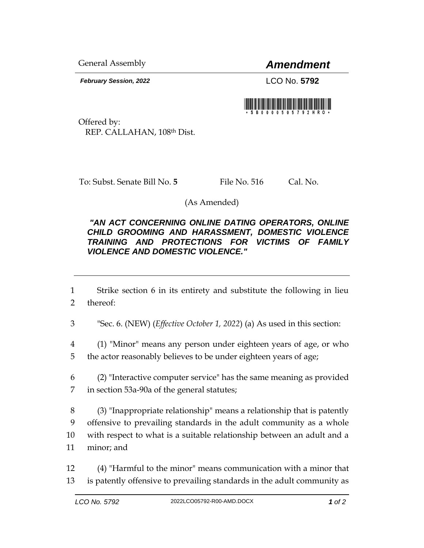General Assembly *Amendment*

*February Session, 2022* LCO No. **5792**



Offered by: REP. CALLAHAN, 108th Dist.

To: Subst. Senate Bill No. 5 File No. 516 Cal. No.

(As Amended)

## *"AN ACT CONCERNING ONLINE DATING OPERATORS, ONLINE CHILD GROOMING AND HARASSMENT, DOMESTIC VIOLENCE TRAINING AND PROTECTIONS FOR VICTIMS OF FAMILY VIOLENCE AND DOMESTIC VIOLENCE."*

1 Strike section 6 in its entirety and substitute the following in lieu 2 thereof:

3 "Sec. 6. (NEW) (*Effective October 1, 2022*) (a) As used in this section:

4 (1) "Minor" means any person under eighteen years of age, or who 5 the actor reasonably believes to be under eighteen years of age;

6 (2) "Interactive computer service" has the same meaning as provided 7 in section 53a-90a of the general statutes;

 (3) "Inappropriate relationship" means a relationship that is patently offensive to prevailing standards in the adult community as a whole with respect to what is a suitable relationship between an adult and a minor; and

12 (4) "Harmful to the minor" means communication with a minor that 13 is patently offensive to prevailing standards in the adult community as